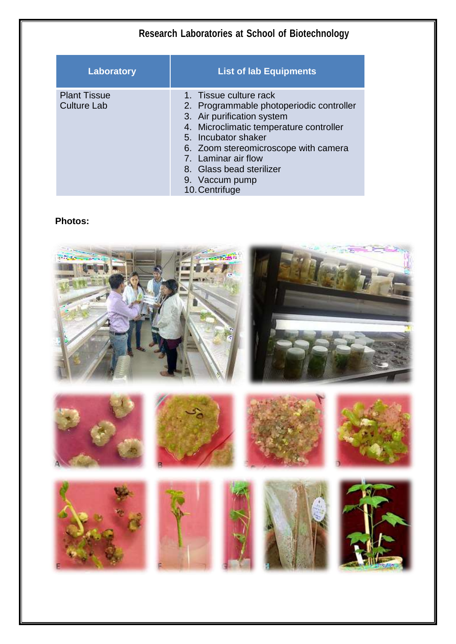| Laboratory                                | <b>List of lab Equipments</b>                                                                                                                                                                                                                                                                     |
|-------------------------------------------|---------------------------------------------------------------------------------------------------------------------------------------------------------------------------------------------------------------------------------------------------------------------------------------------------|
| <b>Plant Tissue</b><br><b>Culture Lab</b> | 1. Tissue culture rack<br>2. Programmable photoperiodic controller<br>3. Air purification system<br>4. Microclimatic temperature controller<br>5. Incubator shaker<br>6. Zoom stereomicroscope with camera<br>7. Laminar air flow<br>8. Glass bead sterilizer<br>9. Vaccum pump<br>10. Centrifuge |

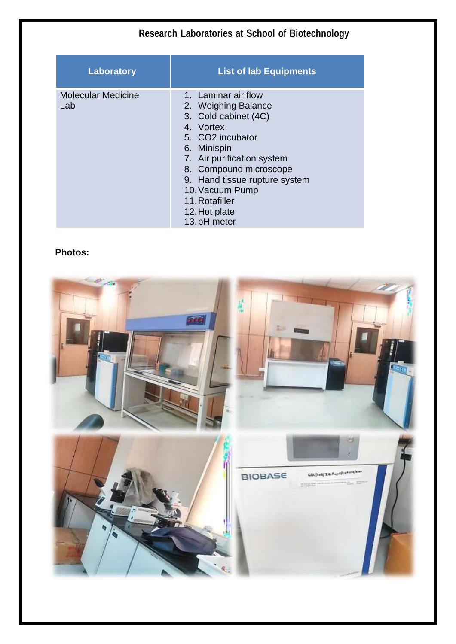| Research Laboratories at School of Biotechnology |                                                                                                                                                                                                                                                                                  |
|--------------------------------------------------|----------------------------------------------------------------------------------------------------------------------------------------------------------------------------------------------------------------------------------------------------------------------------------|
| Laboratory                                       | <b>List of lab Equipments</b>                                                                                                                                                                                                                                                    |
| <b>Molecular Medicine</b><br>Lab                 | 1. Laminar air flow<br>2. Weighing Balance<br>3. Cold cabinet (4C)<br>4. Vortex<br>5. CO2 incubator<br>6. Minispin<br>7. Air purification system<br>8. Compound microscope<br>9. Hand tissue rupture system<br>10. Vacuum Pump<br>11. Rotafiller<br>12. Hot plate<br>13.pH meter |

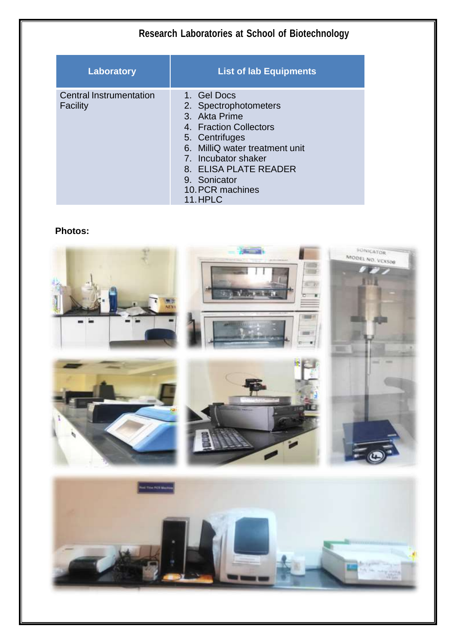| <b>Research Laboratories at School of Biotechnology</b> |                                                                                                                                                                                                                                    |
|---------------------------------------------------------|------------------------------------------------------------------------------------------------------------------------------------------------------------------------------------------------------------------------------------|
| <b>Laboratory</b>                                       | <b>List of lab Equipments</b>                                                                                                                                                                                                      |
| <b>Central Instrumentation</b><br>Facility              | 1. Gel Docs<br>2. Spectrophotometers<br>3. Akta Prime<br>4. Fraction Collectors<br>5. Centrifuges<br>6. MilliQ water treatment unit<br>7. Incubator shaker<br>8. ELISA PLATE READER<br>9. Sonicator<br>10. PCR machines<br>11.HPLC |

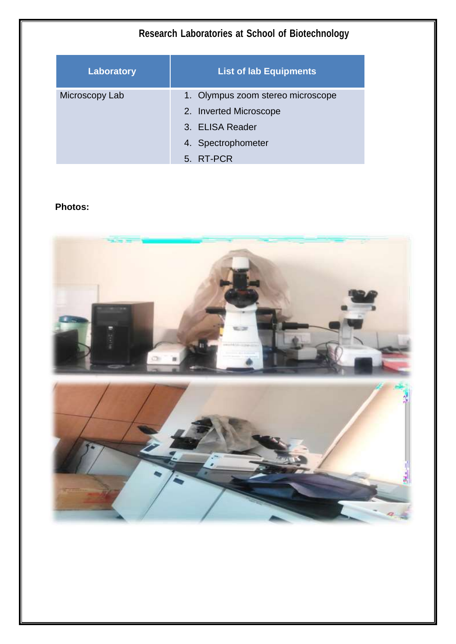| Research Laboratories at School of Biotechnology |                                                                                                                   |
|--------------------------------------------------|-------------------------------------------------------------------------------------------------------------------|
| Laboratory                                       | <b>List of lab Equipments</b>                                                                                     |
| Microscopy Lab                                   | 1. Olympus zoom stereo microscope<br>2. Inverted Microscope<br>3. ELISA Reader<br>4. Spectrophometer<br>5. RT-PCR |

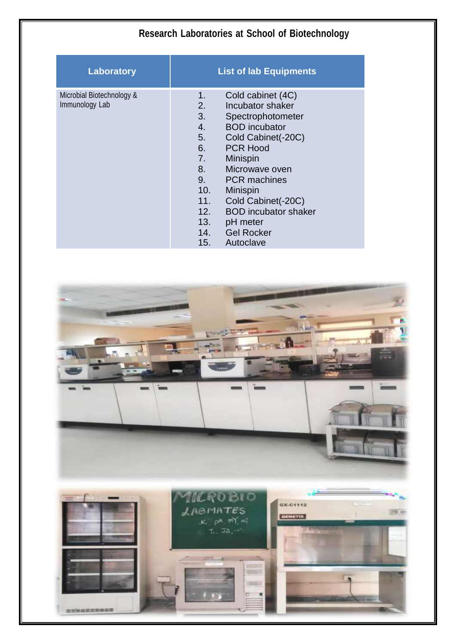| Research Laboratories at School of Biotechnology |                                                                                                                                                                                                                                                                                                                                                                                                               |
|--------------------------------------------------|---------------------------------------------------------------------------------------------------------------------------------------------------------------------------------------------------------------------------------------------------------------------------------------------------------------------------------------------------------------------------------------------------------------|
| Laboratory                                       | <b>List of lab Equipments</b>                                                                                                                                                                                                                                                                                                                                                                                 |
| Microbial Biotechnology &<br>Immunology Lab      | Cold cabinet (4C)<br>1.<br>2.<br>Incubator shaker<br>3.<br>Spectrophotometer<br>4.<br><b>BOD</b> incubator<br>5.<br>Cold Cabinet(-20C)<br>6.<br><b>PCR Hood</b><br>7.<br><b>Minispin</b><br>8.<br>Microwave oven<br>9.<br><b>PCR</b> machines<br>10.<br><b>Minispin</b><br>11.<br>Cold Cabinet(-20C)<br><b>BOD</b> incubator shaker<br>12.<br>13.<br>pH meter<br><b>Gel Rocker</b><br>14.<br>15.<br>Autoclave |

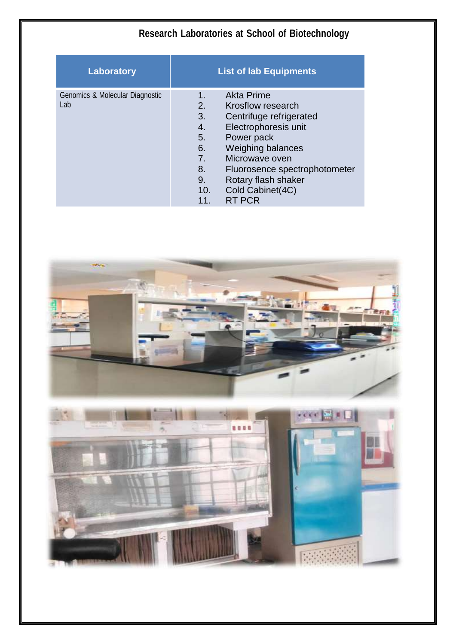| Laboratory                             | <b>List of lab Equipments</b>                                                                                                                                                                                                                                                                                                      |
|----------------------------------------|------------------------------------------------------------------------------------------------------------------------------------------------------------------------------------------------------------------------------------------------------------------------------------------------------------------------------------|
| Genomics & Molecular Diagnostic<br>Lab | <b>Akta Prime</b><br>1.<br>2.<br>Krosflow research<br>3.<br>Centrifuge refrigerated<br>Electrophoresis unit<br>4.<br>5.<br>Power pack<br>6.<br><b>Weighing balances</b><br>Microwave oven<br>7 <sub>1</sub><br>8.<br>Fluorosence spectrophotometer<br>Rotary flash shaker<br>9.<br>Cold Cabinet(4C)<br>10.<br><b>RT PCR</b><br>11. |

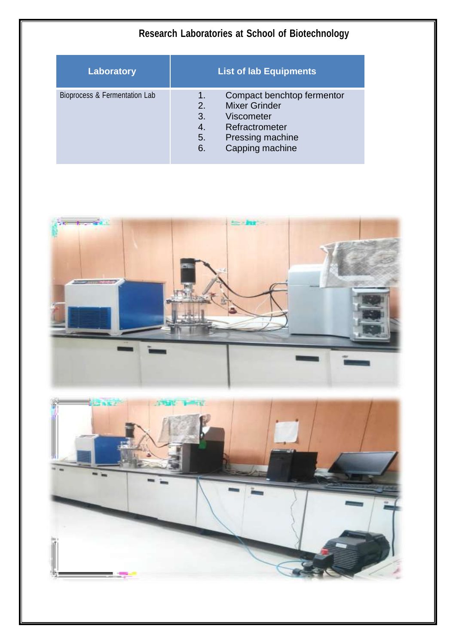| Laboratory                    | <b>List of lab Equipments</b>                                                                                                                                 |
|-------------------------------|---------------------------------------------------------------------------------------------------------------------------------------------------------------|
| Bioprocess & Fermentation Lab | Compact benchtop fermentor<br>1.<br><b>Mixer Grinder</b><br>2.<br>3.<br>Viscometer<br>Refractrometer<br>4.<br>Pressing machine<br>5.<br>Capping machine<br>6. |



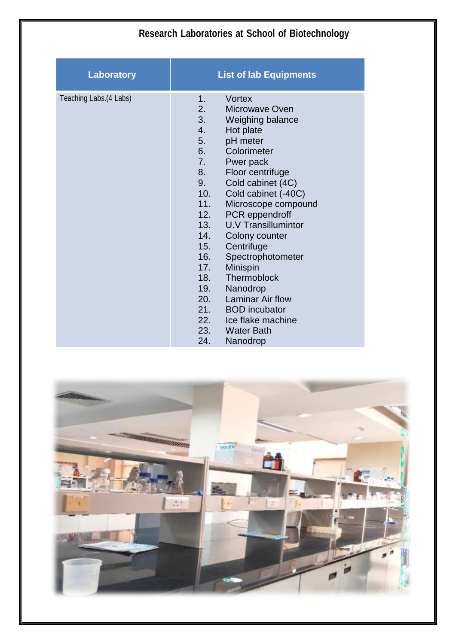| <b>Research Laboratories at School of Biotechnology</b> |                                                                                                                                                                                                                                                                                                                                                                                                                                                                  |
|---------------------------------------------------------|------------------------------------------------------------------------------------------------------------------------------------------------------------------------------------------------------------------------------------------------------------------------------------------------------------------------------------------------------------------------------------------------------------------------------------------------------------------|
| Laboratory                                              | <b>List of lab Equipments</b>                                                                                                                                                                                                                                                                                                                                                                                                                                    |
| Teaching Labs.(4 Labs)                                  | Vortex<br>1.<br>2.<br>Microwave Oven<br>3.<br>Weighing balance<br>4.<br>Hot plate<br>5.<br>pH meter<br>Colorimeter<br>6.<br>7.<br>Pwer pack<br>8.<br>Floor centrifuge<br>9.<br>Cold cabinet (4C)<br>Cold cabinet (-40C)<br>10.<br>11.<br>Microscope compound<br>PCR eppendroff<br>12.<br>13.<br><b>U.V Transillumintor</b><br>14.<br>Colony counter<br>15.<br>Centrifuge<br>16.<br>Spectrophotometer<br>17.<br>Minispin<br>Thermoblock<br>18.<br>19.<br>Nanodrop |
|                                                         | 20.<br><b>Laminar Air flow</b><br>21.<br><b>BOD</b> incubator<br>22.<br>Ice flake machine<br>23.<br><b>Water Bath</b><br>24.<br>Nanodrop                                                                                                                                                                                                                                                                                                                         |

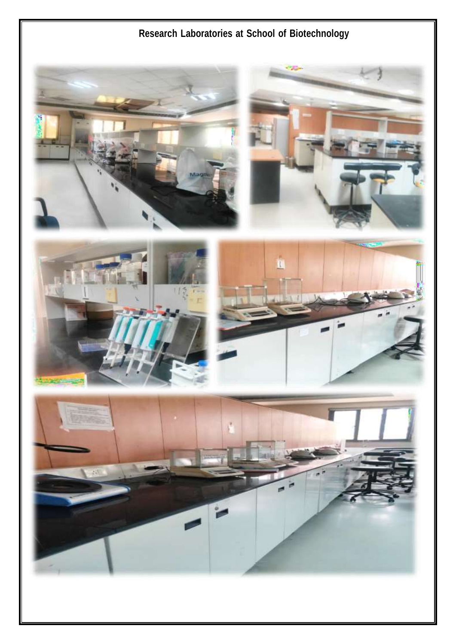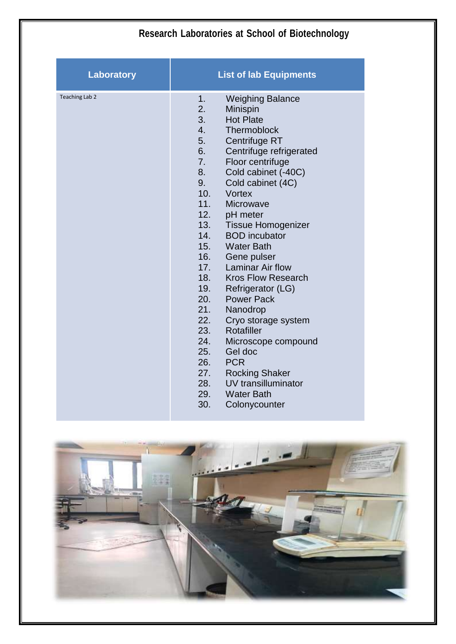|                   | Research Laboratories at School of Biotechnology                                                                                                                                                                                                                                                                                                                                                                                                                                                                                                                                                                                                                                                                                                                                                                               |  |
|-------------------|--------------------------------------------------------------------------------------------------------------------------------------------------------------------------------------------------------------------------------------------------------------------------------------------------------------------------------------------------------------------------------------------------------------------------------------------------------------------------------------------------------------------------------------------------------------------------------------------------------------------------------------------------------------------------------------------------------------------------------------------------------------------------------------------------------------------------------|--|
| <b>Laboratory</b> | <b>List of lab Equipments</b>                                                                                                                                                                                                                                                                                                                                                                                                                                                                                                                                                                                                                                                                                                                                                                                                  |  |
| Teaching Lab 2    | 1.<br><b>Weighing Balance</b><br>2.<br>Minispin<br>3.<br><b>Hot Plate</b><br>4.<br>Thermoblock<br>5.<br>Centrifuge RT<br>6.<br>Centrifuge refrigerated<br>Floor centrifuge<br>7.<br>8.<br>Cold cabinet (-40C)<br>9.<br>Cold cabinet (4C)<br>10.<br><b>Vortex</b><br>11.<br><b>Microwave</b><br>12.<br>pH meter<br>13.<br><b>Tissue Homogenizer</b><br>14.<br><b>BOD</b> incubator<br>15.<br><b>Water Bath</b><br>16.<br>Gene pulser<br><b>Laminar Air flow</b><br>17.<br>18.<br><b>Kros Flow Research</b><br>19.<br>Refrigerator (LG)<br>20.<br><b>Power Pack</b><br>21.<br>Nanodrop<br>22.<br>Cryo storage system<br>23.<br>Rotafiller<br>24.<br>Microscope compound<br>25.<br>Gel doc<br>26.<br><b>PCR</b><br>27.<br><b>Rocking Shaker</b><br>UV transilluminator<br>28.<br>29.<br><b>Water Bath</b><br>30.<br>Colonycounter |  |

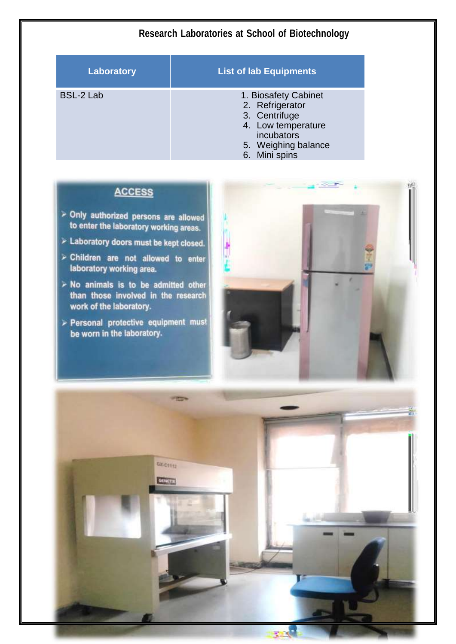| Laboratory | <b>List of lab Equipments</b>                                                                                                        |
|------------|--------------------------------------------------------------------------------------------------------------------------------------|
| BSL-2 Lab  | 1. Biosafety Cabinet<br>2. Refrigerator<br>3. Centrifuge<br>4. Low temperature<br>incubators<br>5. Weighing balance<br>6. Mini spins |

## **ACCESS**

- > Only authorized persons are allowed to enter the laboratory working areas.
- > Laboratory doors must be kept closed.
- > Children are not allowed to enter laboratory working area.
- $\triangleright$  No animals is to be admitted other than those involved in the research work of the laboratory.
- > Personal protective equipment must be worn in the laboratory.



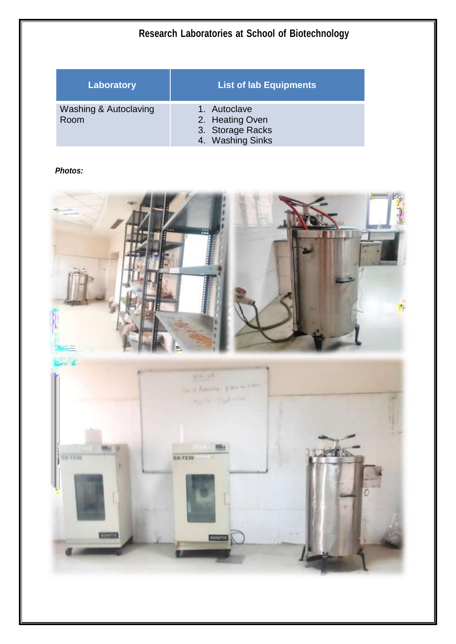| Laboratory                               | <b>List of lab Equipments</b>                                           |
|------------------------------------------|-------------------------------------------------------------------------|
| <b>Washing &amp; Autoclaving</b><br>Room | 1. Autoclave<br>2. Heating Oven<br>3. Storage Racks<br>4. Washing Sinks |

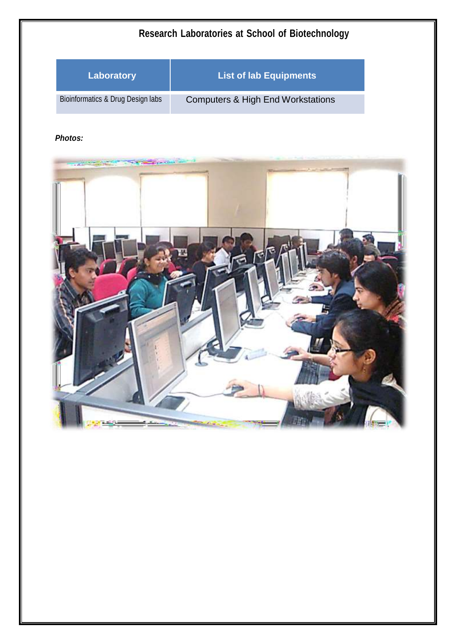| Research Laboratories at School of Biotechnology |                                              |
|--------------------------------------------------|----------------------------------------------|
| <b>Laboratory</b>                                | <b>List of lab Equipments</b>                |
| Bioinformatics & Drug Design labs                | <b>Computers &amp; High End Workstations</b> |

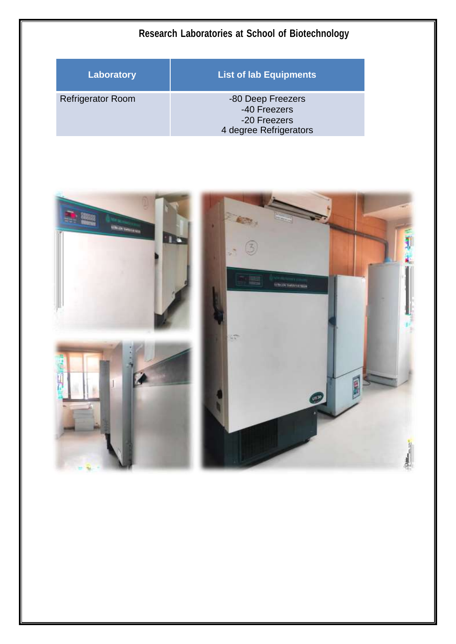| Research Laboratories at School of Biotechnology |                                                                             |
|--------------------------------------------------|-----------------------------------------------------------------------------|
| Laboratory                                       | <b>List of lab Equipments</b>                                               |
| <b>Refrigerator Room</b>                         | -80 Deep Freezers<br>-40 Freezers<br>-20 Freezers<br>4 degree Refrigerators |